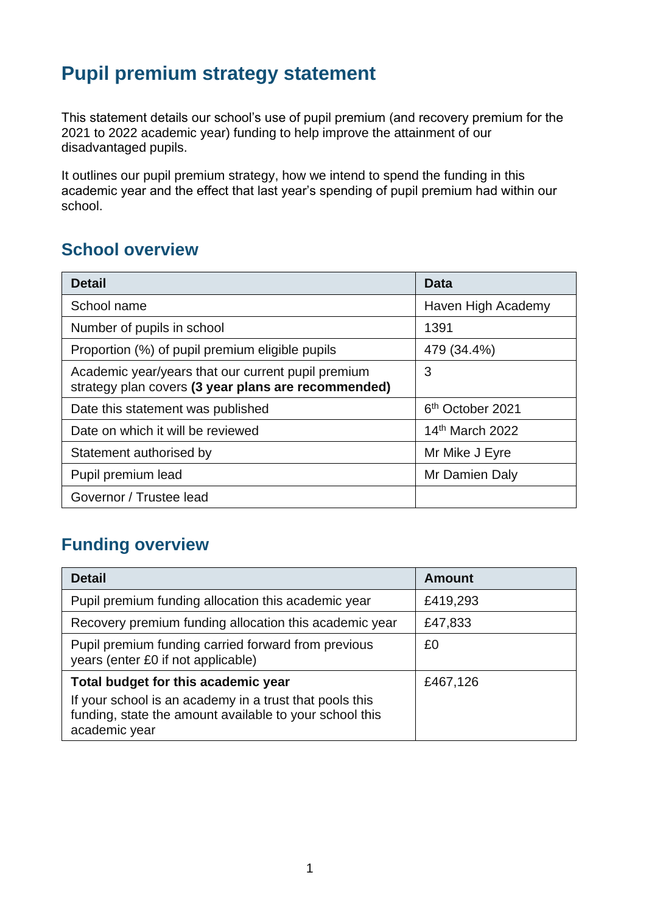## **Pupil premium strategy statement**

This statement details our school's use of pupil premium (and recovery premium for the 2021 to 2022 academic year) funding to help improve the attainment of our disadvantaged pupils.

It outlines our pupil premium strategy, how we intend to spend the funding in this academic year and the effect that last year's spending of pupil premium had within our school.

#### **School overview**

| <b>Detail</b>                                                                                             | Data                         |
|-----------------------------------------------------------------------------------------------------------|------------------------------|
| School name                                                                                               | Haven High Academy           |
| Number of pupils in school                                                                                | 1391                         |
| Proportion (%) of pupil premium eligible pupils                                                           | 479 (34.4%)                  |
| Academic year/years that our current pupil premium<br>strategy plan covers (3 year plans are recommended) | 3                            |
| Date this statement was published                                                                         | 6 <sup>th</sup> October 2021 |
| Date on which it will be reviewed                                                                         | 14th March 2022              |
| Statement authorised by                                                                                   | Mr Mike J Eyre               |
| Pupil premium lead                                                                                        | Mr Damien Daly               |
| Governor / Trustee lead                                                                                   |                              |

### **Funding overview**

| <b>Detail</b>                                                                                                                       | <b>Amount</b> |
|-------------------------------------------------------------------------------------------------------------------------------------|---------------|
| Pupil premium funding allocation this academic year                                                                                 | £419,293      |
| Recovery premium funding allocation this academic year                                                                              | £47,833       |
| Pupil premium funding carried forward from previous<br>years (enter £0 if not applicable)                                           | £0            |
| Total budget for this academic year                                                                                                 | £467,126      |
| If your school is an academy in a trust that pools this<br>funding, state the amount available to your school this<br>academic year |               |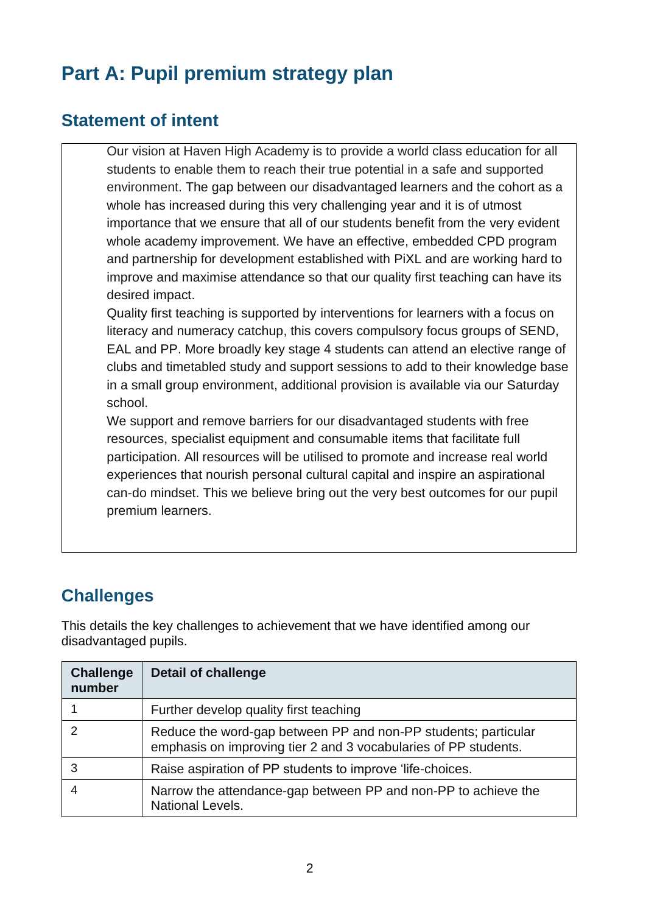# **Part A: Pupil premium strategy plan**

#### **Statement of intent**

Our vision at Haven High Academy is to provide a world class education for all students to enable them to reach their true potential in a safe and supported environment. The gap between our disadvantaged learners and the cohort as a whole has increased during this very challenging year and it is of utmost importance that we ensure that all of our students benefit from the very evident whole academy improvement. We have an effective, embedded CPD program and partnership for development established with PiXL and are working hard to improve and maximise attendance so that our quality first teaching can have its desired impact.

Quality first teaching is supported by interventions for learners with a focus on literacy and numeracy catchup, this covers compulsory focus groups of SEND, EAL and PP. More broadly key stage 4 students can attend an elective range of clubs and timetabled study and support sessions to add to their knowledge base in a small group environment, additional provision is available via our Saturday school.

We support and remove barriers for our disadvantaged students with free resources, specialist equipment and consumable items that facilitate full participation. All resources will be utilised to promote and increase real world experiences that nourish personal cultural capital and inspire an aspirational can-do mindset. This we believe bring out the very best outcomes for our pupil premium learners.

## **Challenges**

This details the key challenges to achievement that we have identified among our disadvantaged pupils.

| <b>Challenge</b><br>number | <b>Detail of challenge</b>                                                                                                        |
|----------------------------|-----------------------------------------------------------------------------------------------------------------------------------|
|                            | Further develop quality first teaching                                                                                            |
| $\mathcal{P}$              | Reduce the word-gap between PP and non-PP students; particular<br>emphasis on improving tier 2 and 3 vocabularies of PP students. |
| 3                          | Raise aspiration of PP students to improve 'life-choices.                                                                         |
|                            | Narrow the attendance-gap between PP and non-PP to achieve the<br>National Levels.                                                |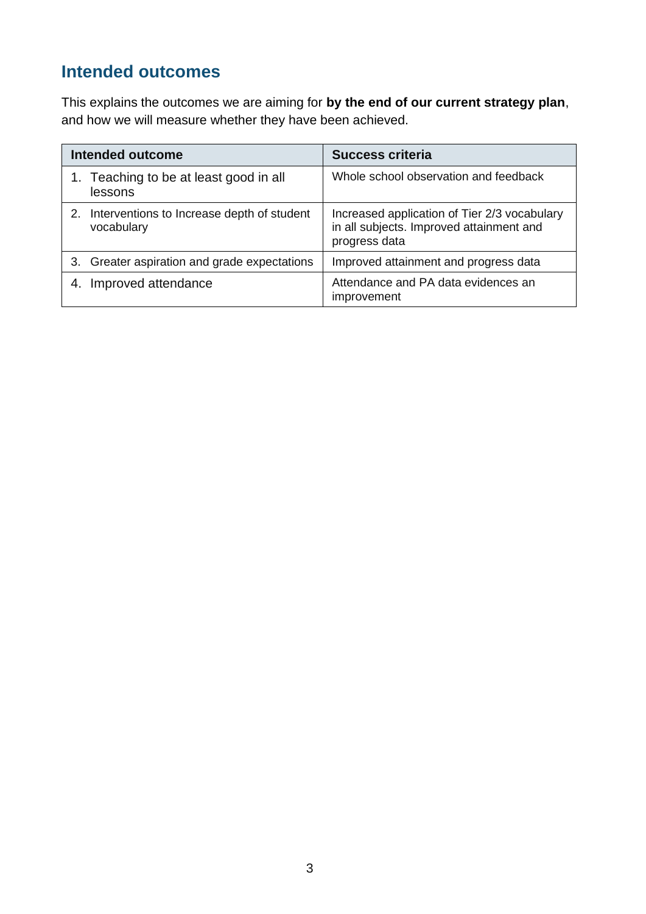## **Intended outcomes**

This explains the outcomes we are aiming for **by the end of our current strategy plan**, and how we will measure whether they have been achieved.

|    | <b>Intended outcome</b>                                  | <b>Success criteria</b>                                                                                   |
|----|----------------------------------------------------------|-----------------------------------------------------------------------------------------------------------|
|    | 1. Teaching to be at least good in all<br>lessons        | Whole school observation and feedback                                                                     |
| 2. | Interventions to Increase depth of student<br>vocabulary | Increased application of Tier 2/3 vocabulary<br>in all subjects. Improved attainment and<br>progress data |
|    | 3. Greater aspiration and grade expectations             | Improved attainment and progress data                                                                     |
|    | Improved attendance                                      | Attendance and PA data evidences an<br>improvement                                                        |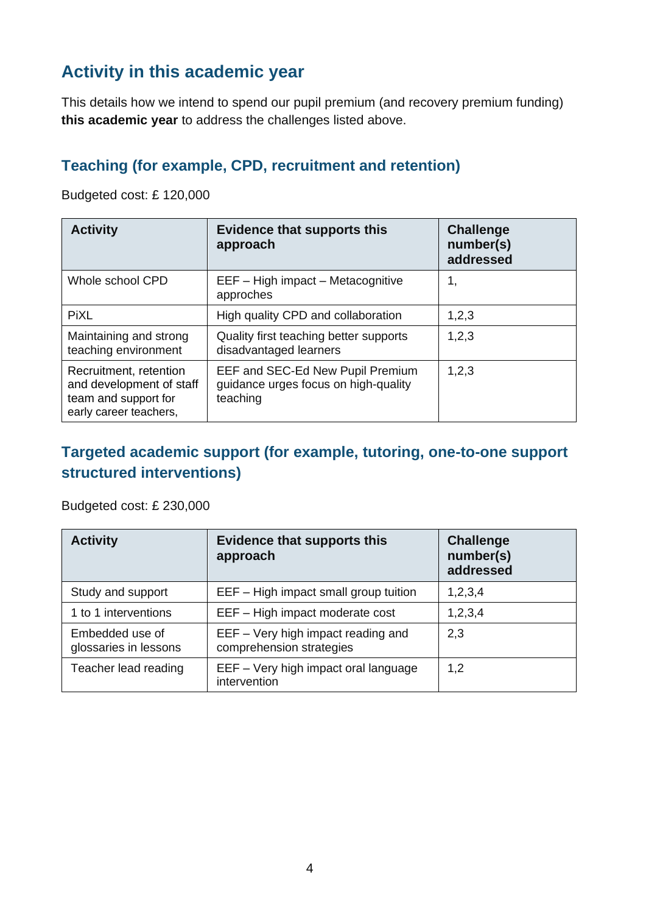## **Activity in this academic year**

This details how we intend to spend our pupil premium (and recovery premium funding) **this academic year** to address the challenges listed above.

#### **Teaching (for example, CPD, recruitment and retention)**

Budgeted cost: £ 120,000

| <b>Activity</b>                                                                                      | <b>Evidence that supports this</b><br>approach                                       | <b>Challenge</b><br>number(s)<br>addressed |
|------------------------------------------------------------------------------------------------------|--------------------------------------------------------------------------------------|--------------------------------------------|
| Whole school CPD                                                                                     | EEF - High impact - Metacognitive<br>approches                                       | 1,                                         |
| <b>PiXL</b>                                                                                          | High quality CPD and collaboration                                                   | 1,2,3                                      |
| Maintaining and strong<br>teaching environment                                                       | Quality first teaching better supports<br>disadvantaged learners                     | 1,2,3                                      |
| Recruitment, retention<br>and development of staff<br>team and support for<br>early career teachers, | EEF and SEC-Ed New Pupil Premium<br>guidance urges focus on high-quality<br>teaching | 1, 2, 3                                    |

#### **Targeted academic support (for example, tutoring, one-to-one support structured interventions)**

Budgeted cost: £ 230,000

| <b>Activity</b>                          | <b>Evidence that supports this</b><br>approach                 | <b>Challenge</b><br>number(s)<br>addressed |
|------------------------------------------|----------------------------------------------------------------|--------------------------------------------|
| Study and support                        | EEF - High impact small group tuition                          | 1,2,3,4                                    |
| 1 to 1 interventions                     | EEF - High impact moderate cost                                | 1,2,3,4                                    |
| Embedded use of<br>glossaries in lessons | EEF - Very high impact reading and<br>comprehension strategies | 2,3                                        |
| Teacher lead reading                     | EEF - Very high impact oral language<br>intervention           | 1,2                                        |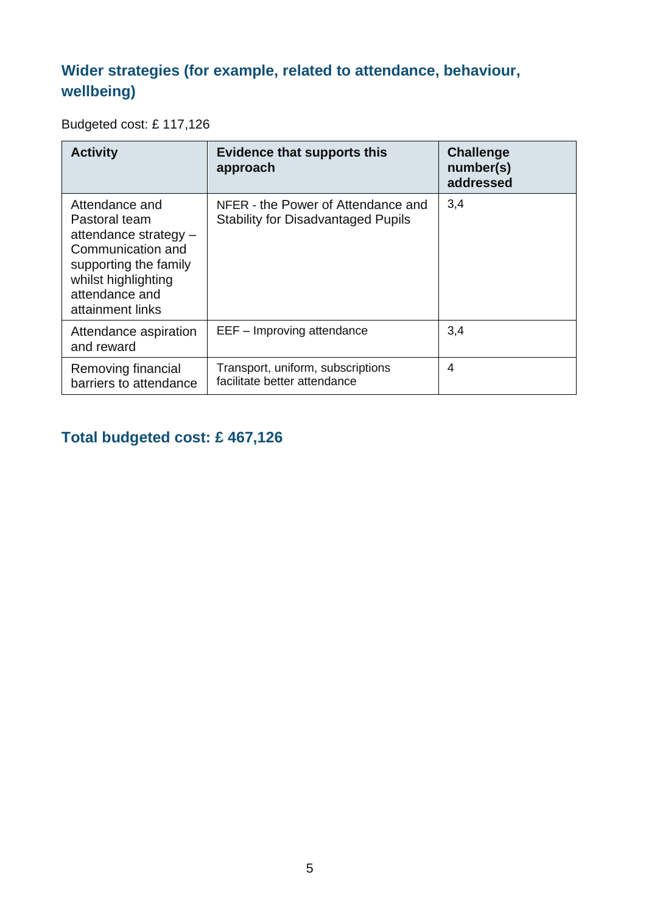### **Wider strategies (for example, related to attendance, behaviour, wellbeing)**

#### Budgeted cost: £ 117,126

| <b>Activity</b>                                                                                                                                                     | <b>Evidence that supports this</b><br>approach                                  | <b>Challenge</b><br>number(s)<br>addressed |
|---------------------------------------------------------------------------------------------------------------------------------------------------------------------|---------------------------------------------------------------------------------|--------------------------------------------|
| Attendance and<br>Pastoral team<br>attendance strategy -<br>Communication and<br>supporting the family<br>whilst highlighting<br>attendance and<br>attainment links | NFER - the Power of Attendance and<br><b>Stability for Disadvantaged Pupils</b> | 3,4                                        |
| Attendance aspiration<br>and reward                                                                                                                                 | EEF - Improving attendance                                                      | 3,4                                        |
| Removing financial<br>barriers to attendance                                                                                                                        | Transport, uniform, subscriptions<br>facilitate better attendance               | 4                                          |

### **Total budgeted cost: £ 467,126**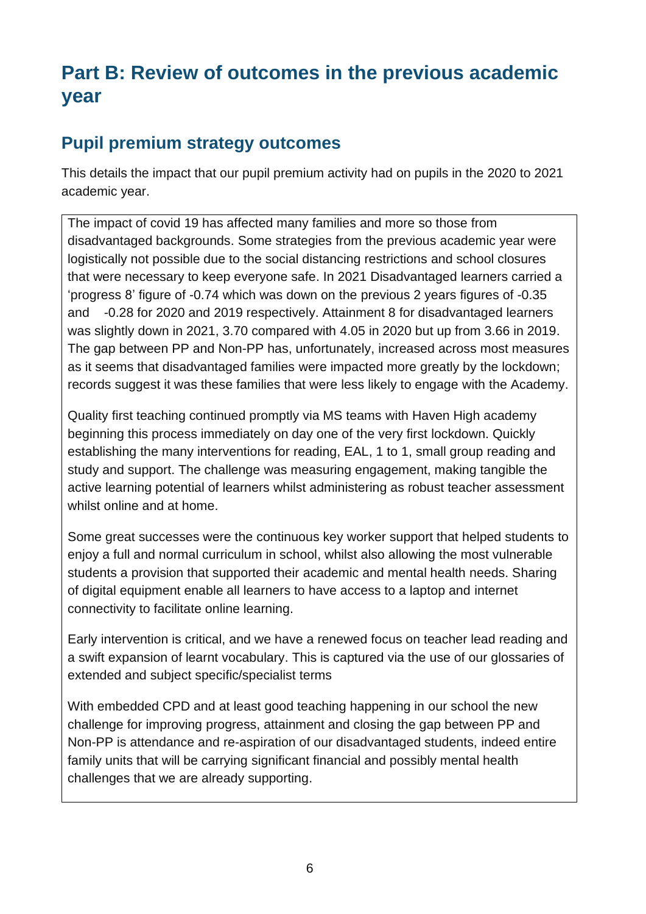## **Part B: Review of outcomes in the previous academic year**

### **Pupil premium strategy outcomes**

This details the impact that our pupil premium activity had on pupils in the 2020 to 2021 academic year.

The impact of covid 19 has affected many families and more so those from disadvantaged backgrounds. Some strategies from the previous academic year were logistically not possible due to the social distancing restrictions and school closures that were necessary to keep everyone safe. In 2021 Disadvantaged learners carried a 'progress 8' figure of -0.74 which was down on the previous 2 years figures of -0.35 and -0.28 for 2020 and 2019 respectively. Attainment 8 for disadvantaged learners was slightly down in 2021, 3.70 compared with 4.05 in 2020 but up from 3.66 in 2019. The gap between PP and Non-PP has, unfortunately, increased across most measures as it seems that disadvantaged families were impacted more greatly by the lockdown; records suggest it was these families that were less likely to engage with the Academy.

Quality first teaching continued promptly via MS teams with Haven High academy beginning this process immediately on day one of the very first lockdown. Quickly establishing the many interventions for reading, EAL, 1 to 1, small group reading and study and support. The challenge was measuring engagement, making tangible the active learning potential of learners whilst administering as robust teacher assessment whilst online and at home.

Some great successes were the continuous key worker support that helped students to enjoy a full and normal curriculum in school, whilst also allowing the most vulnerable students a provision that supported their academic and mental health needs. Sharing of digital equipment enable all learners to have access to a laptop and internet connectivity to facilitate online learning.

Early intervention is critical, and we have a renewed focus on teacher lead reading and a swift expansion of learnt vocabulary. This is captured via the use of our glossaries of extended and subject specific/specialist terms

With embedded CPD and at least good teaching happening in our school the new challenge for improving progress, attainment and closing the gap between PP and Non-PP is attendance and re-aspiration of our disadvantaged students, indeed entire family units that will be carrying significant financial and possibly mental health challenges that we are already supporting.